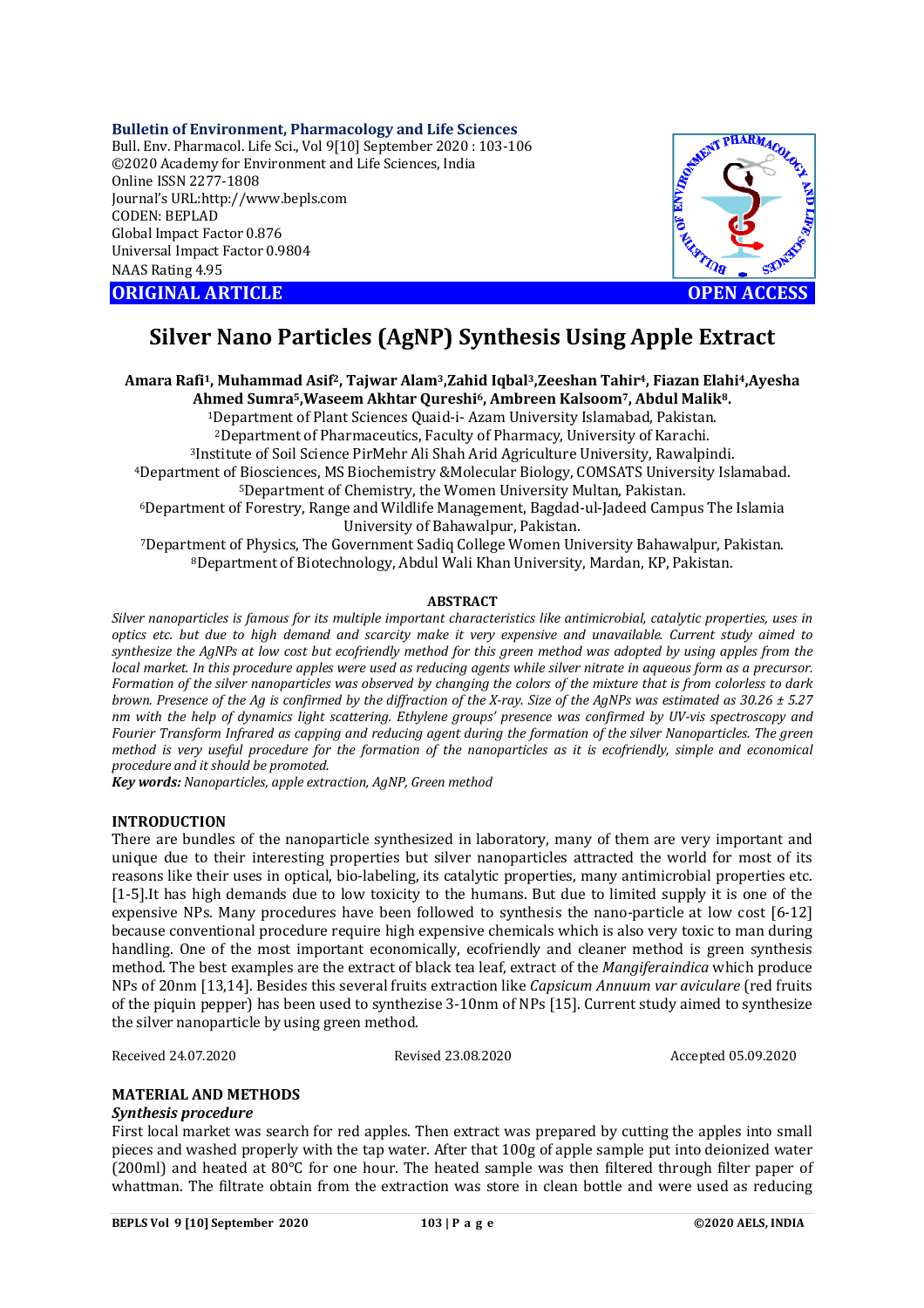# **Bulletin of Environment, Pharmacology and Life Sciences**

Bull. Env. Pharmacol. Life Sci., Vol 9[10] September 2020 : 103-106 ©2020 Academy for Environment and Life Sciences, India Online ISSN 2277-1808 Journal's URL:<http://www.bepls.com> CODEN: BEPLAD Global Impact Factor 0.876 Universal Impact Factor 0.9804 NAAS Rating 4.95





# **Silver Nano Particles (AgNP) Synthesis Using Apple Extract**

**Amara Rafi1, Muhammad Asif2, Tajwar Alam3,Zahid Iqbal3,Zeeshan Tahir4, Fiazan Elahi4,Ayesha Ahmed Sumra5,Waseem Akhtar Qureshi6, Ambreen Kalsoom7, Abdul Malik8.** Department of Plant Sciences Quaid-i- Azam University Islamabad, Pakistan. Department of Pharmaceutics, Faculty of Pharmacy, University of Karachi. Institute of Soil Science PirMehr Ali Shah Arid Agriculture University, Rawalpindi. Department of Biosciences, MS Biochemistry &Molecular Biology, COMSATS University Islamabad. Department of Chemistry, the Women University Multan, Pakistan. Department of Forestry, Range and Wildlife Management, Bagdad-ul-Jadeed Campus The Islamia University of Bahawalpur, Pakistan. Department of Physics, The Government Sadiq College Women University Bahawalpur, Pakistan. Department of Biotechnology, Abdul Wali Khan University, Mardan, KP, Pakistan.

# **ABSTRACT**

*Silver nanoparticles is famous for its multiple important characteristics like antimicrobial, catalytic properties, uses in optics etc. but due to high demand and scarcity make it very expensive and unavailable. Current study aimed to synthesize the AgNPs at low cost but ecofriendly method for this green method was adopted by using apples from the local market. In this procedure apples were used as reducing agents while silver nitrate in aqueous form as a precursor. Formation of the silver nanoparticles was observed by changing the colors of the mixture that is from colorless to dark brown. Presence of the Ag is confirmed by the diffraction of the X-ray. Size of the AgNPs was estimated as 30.26 ± 5.27 nm with the help of dynamics light scattering. Ethylene groups' presence was confirmed by UV-vis spectroscopy and Fourier Transform Infrared as capping and reducing agent during the formation of the silver Nanoparticles. The green method is very useful procedure for the formation of the nanoparticles as it is ecofriendly, simple and economical procedure and it should be promoted.*

*Key words: Nanoparticles, apple extraction, AgNP, Green method*

# **INTRODUCTION**

There are bundles of the nanoparticle synthesized in laboratory, many of them are very important and unique due to their interesting properties but silver nanoparticles attracted the world for most of its reasons like their uses in optical, bio-labeling, its catalytic properties, many antimicrobial properties etc. [1-5].It has high demands due to low toxicity to the humans. But due to limited supply it is one of the expensive NPs. Many procedures have been followed to synthesis the nano-particle at low cost [6-12] because conventional procedure require high expensive chemicals which is also very toxic to man during handling. One of the most important economically, ecofriendly and cleaner method is green synthesis method. The best examples are the extract of black tea leaf, extract of the *Mangiferaindica* which produce NPs of 20nm [13,14]. Besides this several fruits extraction like *Capsicum Annuum var aviculare* (red fruits of the piquin pepper) has been used to synthezise 3-10nm of NPs [15]. Current study aimed to synthesize the silver nanoparticle by using green method.

Received 24.07.2020 Revised 23.08.2020 Accepted 05.09.2020

# **MATERIAL AND METHODS**

# *Synthesis procedure*

First local market was search for red apples. Then extract was prepared by cutting the apples into small pieces and washed properly with the tap water. After that 100g of apple sample put into deionized water (200ml) and heated at 80°C for one hour. The heated sample was then filtered through filter paper of whattman. The filtrate obtain from the extraction was store in clean bottle and were used as reducing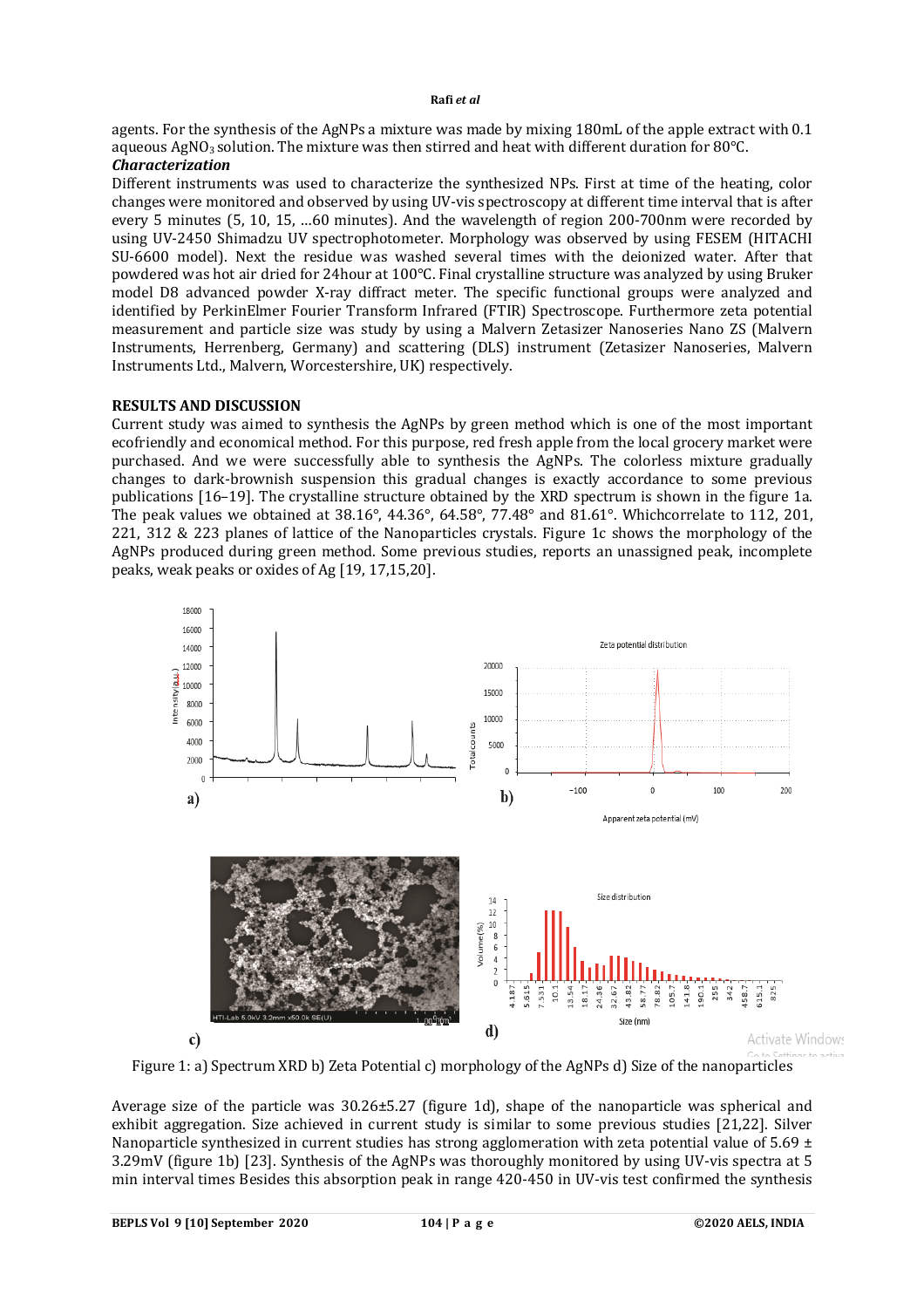### **Rafi** *et al*

agents. For the synthesis of the AgNPs a mixture was made by mixing 180mL of the apple extract with 0.1 aqueous AgNO<sub>3</sub> solution. The mixture was then stirred and heat with different duration for 80°C. *Characterization*

Different instruments was used to characterize the synthesized NPs. First at time of the heating, color changes were monitored and observed by using UV-vis spectroscopy at different time interval that is after every 5 minutes (5, 10, 15, …60 minutes). And the wavelength of region 200-700nm were recorded by using UV-2450 Shimadzu UV spectrophotometer. Morphology was observed by using FESEM (HITACHI SU-6600 model). Next the residue was washed several times with the deionized water. After that powdered was hot air dried for 24hour at 100°C. Final crystalline structure was analyzed by using Bruker model D8 advanced powder X-ray diffract meter. The specific functional groups were analyzed and identified by PerkinElmer Fourier Transform Infrared (FTIR) Spectroscope. Furthermore zeta potential measurement and particle size was study by using a Malvern Zetasizer Nanoseries Nano ZS (Malvern Instruments, Herrenberg, Germany) and scattering (DLS) instrument (Zetasizer Nanoseries, Malvern Instruments Ltd., Malvern, Worcestershire, UK) respectively.

# **RESULTS AND DISCUSSION**

Current study was aimed to synthesis the AgNPs by green method which is one of the most important ecofriendly and economical method. For this purpose, red fresh apple from the local grocery market were purchased. And we were successfully able to synthesis the AgNPs. The colorless mixture gradually changes to dark-brownish suspension this gradual changes is exactly accordance to some previous publications [16–19]. The crystalline structure obtained by the XRD spectrum is shown in the figure 1a. The peak values we obtained at 38.16°, 44.36°, 64.58°, 77.48° and 81.61°. Whichcorrelate to 112, 201, 221, 312 & 223 planes of lattice of the Nanoparticles crystals. Figure 1c shows the morphology of the AgNPs produced during green method. Some previous studies, reports an unassigned peak, incomplete peaks, weak peaks or oxides of Ag [19, 17,15,20].



Figure 1: a) Spectrum XRD b) Zeta Potential c) morphology of the AgNPs d) Size of the nanoparticles

Average size of the particle was 30.26±5.27 (figure 1d), shape of the nanoparticle was spherical and exhibit aggregation. Size achieved in current study is similar to some previous studies [21,22]. Silver Nanoparticle synthesized in current studies has strong agglomeration with zeta potential value of 5.69  $\pm$ 3.29mV (figure 1b) [23]. Synthesis of the AgNPs was thoroughly monitored by using UV-vis spectra at 5 min interval times Besides this absorption peak in range 420-450 in UV-vis test confirmed the synthesis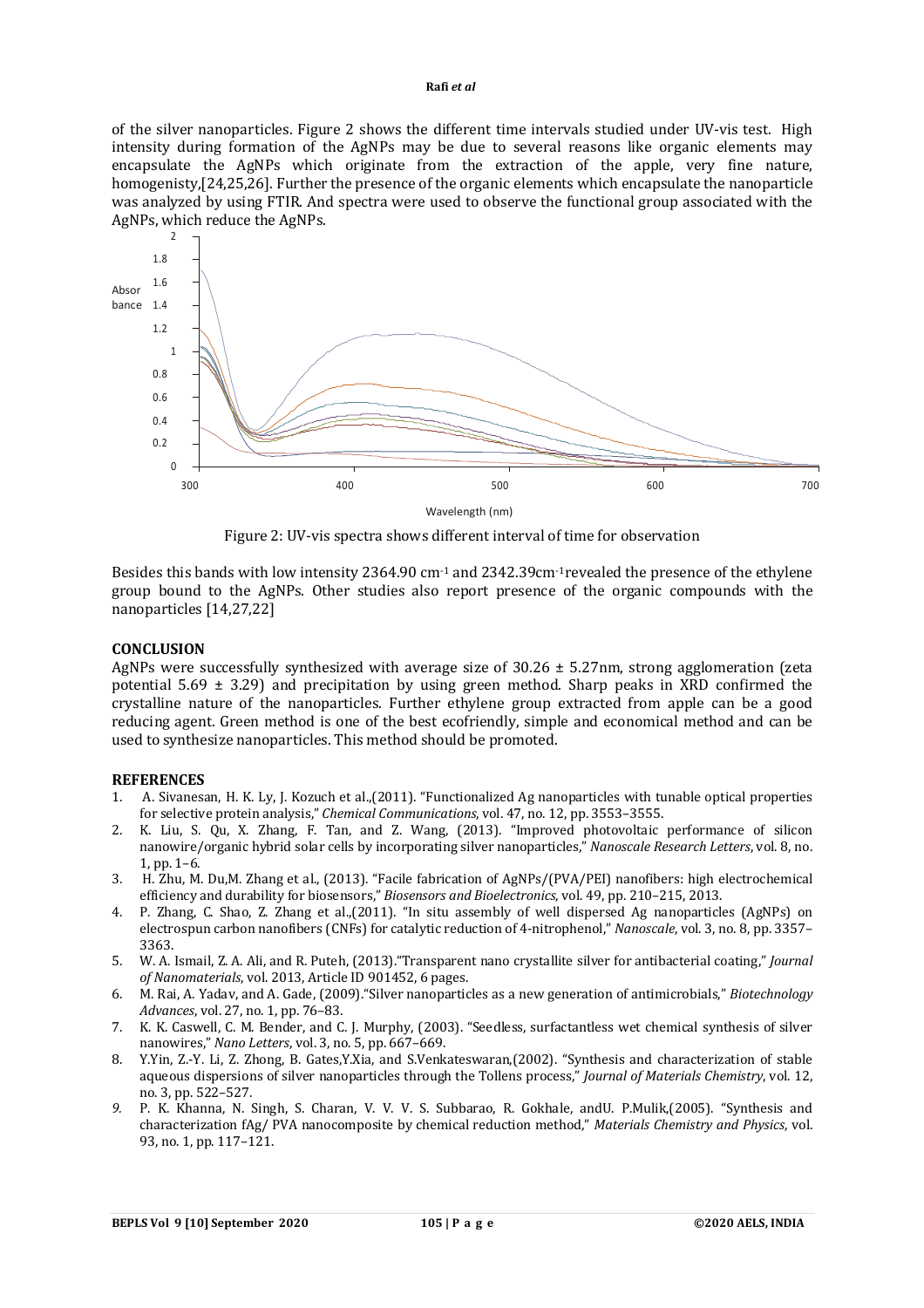### **Rafi** *et al*

of the silver nanoparticles. Figure 2 shows the different time intervals studied under UV-vis test. High intensity during formation of the AgNPs may be due to several reasons like organic elements may encapsulate the AgNPs which originate from the extraction of the apple, very fine nature, homogenisty,[24,25,26]. Further the presence of the organic elements which encapsulate the nanoparticle was analyzed by using FTIR. And spectra were used to observe the functional group associated with the AgNPs, which reduce the AgNPs.



Figure 2: UV-vis spectra shows different interval of time for observation

Besides this bands with low intensity 2364.90 cm<sup>-1</sup> and 2342.39cm<sup>-1</sup>revealed the presence of the ethylene group bound to the AgNPs. Other studies also report presence of the organic compounds with the nanoparticles [14,27,22]

# **CONCLUSION**

AgNPs were successfully synthesized with average size of  $30.26 \pm 5.27$  m, strong agglomeration (zeta potential 5.69  $\pm$  3.29) and precipitation by using green method. Sharp peaks in XRD confirmed the crystalline nature of the nanoparticles. Further ethylene group extracted from apple can be a good reducing agent. Green method is one of the best ecofriendly, simple and economical method and can be used to synthesize nanoparticles. This method should be promoted.

# **REFERENCES**

- 1. A. Sivanesan, H. K. Ly, J. Kozuch et al.,(2011). "Functionalized Ag nanoparticles with tunable optical properties for selective protein analysis," *Chemical Communications*, vol. 47, no. 12, pp. 3553–3555.
- 2. K. Liu, S. Qu, X. Zhang, F. Tan, and Z. Wang, (2013). "Improved photovoltaic performance of silicon nanowire/organic hybrid solar cells by incorporating silver nanoparticles," *Nanoscale Research Letters*, vol. 8, no. 1, pp. 1–6.
- 3. H. Zhu, M. Du,M. Zhang et al., (2013). "Facile fabrication of AgNPs/(PVA/PEI) nanofibers: high electrochemical efficiency and durability for biosensors," *Biosensors and Bioelectronics*, vol. 49, pp. 210–215, 2013.
- 4. P. Zhang, C. Shao, Z. Zhang et al.,(2011). "In situ assembly of well dispersed Ag nanoparticles (AgNPs) on electrospun carbon nanofibers (CNFs) for catalytic reduction of 4-nitrophenol," *Nanoscale*, vol. 3, no. 8, pp. 3357– 3363.
- 5. W. A. Ismail, Z. A. Ali, and R. Puteh, (2013)."Transparent nano crystallite silver for antibacterial coating," *Journal of Nanomaterials*, vol. 2013, Article ID 901452, 6 pages.
- 6. M. Rai, A. Yadav, and A. Gade, (2009)."Silver nanoparticles as a new generation of antimicrobials," *Biotechnology Advances*, vol. 27, no. 1, pp. 76–83.
- 7. K. K. Caswell, C. M. Bender, and C. J. Murphy, (2003). "Seedless, surfactantless wet chemical synthesis of silver nanowires," *Nano Letters*, vol. 3, no. 5, pp. 667–669.
- 8. Y.Yin, Z.-Y. Li, Z. Zhong, B. Gates,Y.Xia, and S.Venkateswaran,(2002). "Synthesis and characterization of stable aqueous dispersions of silver nanoparticles through the Tollens process," *Journal of Materials Chemistry*, vol. 12, no. 3, pp. 522–527.
- *9.* P. K. Khanna, N. Singh, S. Charan, V. V. V. S. Subbarao, R. Gokhale, andU. P.Mulik,(2005). "Synthesis and characterization fAg/ PVA nanocomposite by chemical reduction method," *Materials Chemistry and Physics*, vol. 93, no. 1, pp. 117–121.